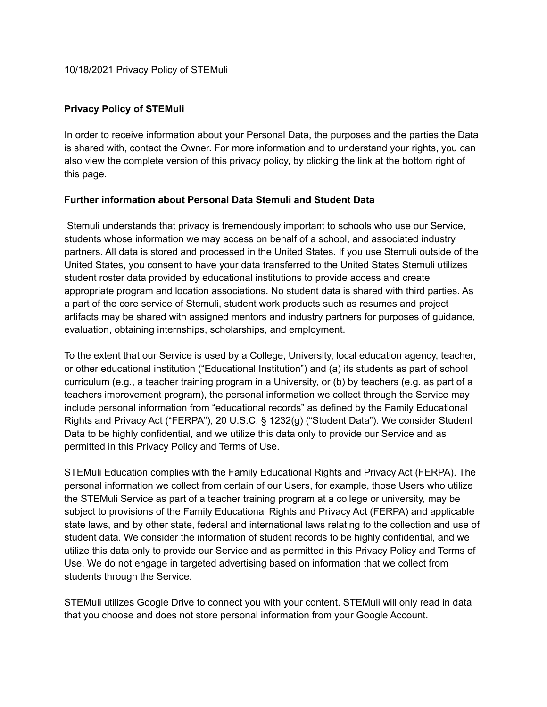10/18/2021 Privacy Policy of STEMuli

## **Privacy Policy of STEMuli**

In order to receive information about your Personal Data, the purposes and the parties the Data is shared with, contact the Owner. For more information and to understand your rights, you can also view the complete version of this privacy policy, by clicking the link at the bottom right of this page.

## **Further information about Personal Data Stemuli and Student Data**

Stemuli understands that privacy is tremendously important to schools who use our Service, students whose information we may access on behalf of a school, and associated industry partners. All data is stored and processed in the United States. If you use Stemuli outside of the United States, you consent to have your data transferred to the United States Stemuli utilizes student roster data provided by educational institutions to provide access and create appropriate program and location associations. No student data is shared with third parties. As a part of the core service of Stemuli, student work products such as resumes and project artifacts may be shared with assigned mentors and industry partners for purposes of guidance, evaluation, obtaining internships, scholarships, and employment.

To the extent that our Service is used by a College, University, local education agency, teacher, or other educational institution ("Educational Institution") and (a) its students as part of school curriculum (e.g., a teacher training program in a University, or (b) by teachers (e.g. as part of a teachers improvement program), the personal information we collect through the Service may include personal information from "educational records" as defined by the Family Educational Rights and Privacy Act ("FERPA"), 20 U.S.C. § 1232(g) ("Student Data"). We consider Student Data to be highly confidential, and we utilize this data only to provide our Service and as permitted in this Privacy Policy and Terms of Use.

STEMuli Education complies with the Family Educational Rights and Privacy Act (FERPA). The personal information we collect from certain of our Users, for example, those Users who utilize the STEMuli Service as part of a teacher training program at a college or university, may be subject to provisions of the Family Educational Rights and Privacy Act (FERPA) and applicable state laws, and by other state, federal and international laws relating to the collection and use of student data. We consider the information of student records to be highly confidential, and we utilize this data only to provide our Service and as permitted in this Privacy Policy and Terms of Use. We do not engage in targeted advertising based on information that we collect from students through the Service.

STEMuli utilizes Google Drive to connect you with your content. STEMuli will only read in data that you choose and does not store personal information from your Google Account.